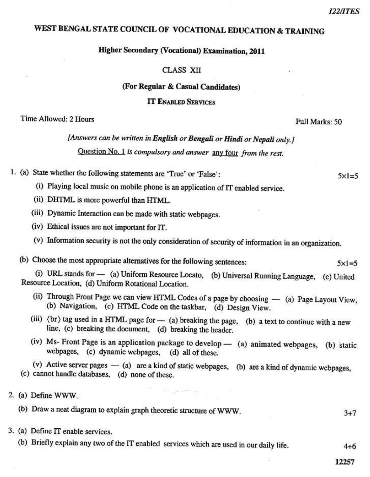# WEST BENGAL STATE COUNCIL OF VOCATIONAL EDUCATION & TRAINING

## **Higher Secondary (Vocational) Examination, 2011**

#### **CLASS XII**

#### (For Regular & Casual Candidates)

**IT ENABLED SERVICES** 

## Time Allowed: 2 Hours

[Answers can be written in English or Bengali or Hindi or Nepali only.] Question No. 1 is compulsory and answer any four from the rest.

- 1. (a) State whether the following statements are 'True' or 'False':
	- (i) Playing local music on mobile phone is an application of IT enabled service.
	- (ii) DHTML is more powerful than HTML.
	- (iii) Dynamic Interaction can be made with static webpages.
	- (iv) Ethical issues are not important for IT.
	- (v) Information security is not the only consideration of security of information in an organization.

(b) Choose the most appropriate alternatives for the following sentences:

(i) URL stands for - (a) Uniform Resource Locato, (b) Universal Running Language, (c) United Resource Location, (d) Uniform Rotational Location.

- (ii) Through Front Page we can view HTML Codes of a page by choosing (a) Page Layout View, (b) Navigation, (c) HTML Code on the taskbar, (d) Design View.
- (iii)  $\langle$  br  $\rangle$  tag used in a HTML page for (a) breaking the page, (b) a text to continue with a new line, (c) breaking the document, (d) breaking the header.
- (iv) Ms- Front Page is an application package to develop  $-$  (a) animated webpages, (b) static webpages, (c) dynamic webpages, (d) all of these.

(v) Active server pages - (a) are a kind of static webpages, (b) are a kind of dynamic webpages, (c) cannot handle databases, (d) none of these.

- 2. (a) Define WWW.
	- (b) Draw a neat diagram to explain graph theoretic structure of WWW.
- 3. (a) Define IT enable services.
	- (b) Briefly explain any two of the IT enabled services which are used in our daily life.

 $4 + 6$ 

 $3 + 7$ 

 $5x1=5$ 

 $5 \times 1 = 5$ 

Full Marks: 50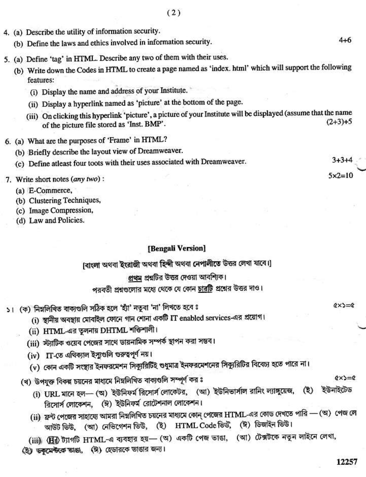- 4. (a) Describe the utility of information security.
	- (b) Define the laws and ethics involved in information security.
- 5. (a) Define 'tag' in HTML. Describe any two of them with their uses.
	- (b) Write down the Codes in HTML to create a page named as 'index. html' which will support the following features:
		- (i) Display the name and address of your Institute.
		- (ii) Display a hyperlink named as 'picture' at the bottom of the page.
		- (iii) On clicking this hyperlink 'picture', a picture of your Institute will be displayed (assume that the name  $(2+3)+5$ of the picture file stored as 'Inst. BMP'.
- 6. (a) What are the purposes of 'Frame' in HTML?
	- (b) Briefly describe the layout view of Dreamweaver.
	- (c) Define atleast four toots with their uses associated with Dreamweaver.
- 7. Write short notes (any two):
	- (a) E-Commerce,
	- (b) Clustering Techniques,
	- (c) Image Compression,
	- (d) Law and Policies.

### [Bengali Version]

(বাংলা অথবা ইংরাজী অথবা হিন্দী অথবা নেপালীতে উত্তর লেখা যাবে।)

# প্রথম প্রশ্নটির উত্তর দেওয়া আবশিক।

পরবর্তী প্রশ্নণ্ডলোর মধ্যে থেকে যে কোন <u>চার</u>টি প্রশ্নের উত্তর দাও।

- ১। (ক) নিম্নলিখিত বাক্যগুলি সঠিক হলে 'হ্যাঁ' নতুবা 'না' লিখতে হবে ঃ
	- (i) স্থানীয় অবস্থায় মোবাইল ফোনে গান শোনা একটি IT enabled services-এর প্রয়োগ।
	- (ii) HTML-এর তুলনায় DHTML শক্তিশালী।
	- (iii) স্ট্যাটিক ওয়েব পেজের সাথে ডায়নামিক সম্পর্ক স্থাপন করা সম্ভব।
	- (iv) IT-তে এথিক্যাল ইস্যুগুলি গুরুত্বপূর্ণ নয়।
	- (v) কোন একটি সংস্থার ইনফরমেশন সিক্যুরিটিই শুধুমাত্র ইনফরমেশনের সিক্যুরিটির বিবেচ্য হতে পারে না।
	- (খ) উপযুক্ত বিকল্প চয়নের মাধ্যমে নিম্নলিখিত বাক্যগুলি সম্পূর্ণ কর ঃ
		- (i) URL মানে হল— (অ) ইউনিফর্ম রিসোর্স লোকেটর, (আ) ইউনিভার্সাল রানিং ল্যাঙ্গুয়েজ, ইউনাইটেড  $(3)$ রিসোর্স লোকেশন, (ঈ) ইউনিফর্ম রোটেশনাল লোকেশন।
		- (ii) ফ্রন্ট পেজের সাহায্যে আমরা নিম্নলিখিত চয়নের মাধ্যমে কোন্ পেজের HTML-এর কোড দেখতে পারি (অ) পেজ লে আউট ভিউ, (আ) নেভিগেশন ভিউ, (ই) HTML Code ভিউ, (ঈ) ডিজাইন ভিউ।
		- (iii) (Bil) ট্যাগটি HTML-এ ব্যবহার হয়— (অ) একটি পেজ ভাঙা, (আ) টেক্সটকে নতুন লাইনে লেখা,
	- (ই) তকুমেন্টকে তাঙা, (ঈ) হেডারকে তাঙার জন্য।

 $(x \times y) = 0$ 

 $(x) = c$ 

 $5x2=10$ 

 $3 + 3 + 4$